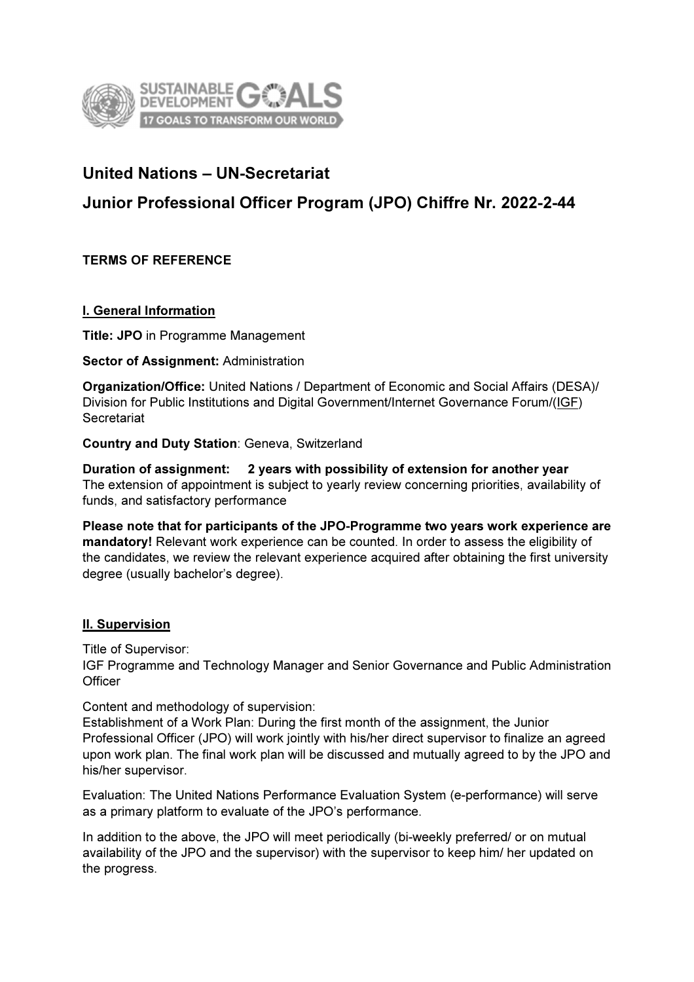

# United Nations – UN-Secretariat

# Junior Professional Officer Program (JPO) Chiffre Nr. 2022-2-44

TERMS OF REFERENCE

### I. General Information

Title: JPO in Programme Management

#### Sector of Assignment: Administration

Organization/Office: United Nations / Department of Economic and Social Affairs (DESA)/ Division for Public Institutions and Digital Government/Internet Governance Forum/(IGF) **Secretariat** 

Country and Duty Station: Geneva, Switzerland

Duration of assignment: 2 years with possibility of extension for another year The extension of appointment is subject to yearly review concerning priorities, availability of funds, and satisfactory performance

Please note that for participants of the JPO-Programme two years work experience are mandatory! Relevant work experience can be counted. In order to assess the eligibility of the candidates, we review the relevant experience acquired after obtaining the first university degree (usually bachelor's degree).

### II. Supervision

Title of Supervisor:

IGF Programme and Technology Manager and Senior Governance and Public Administration **Officer** 

Content and methodology of supervision:

Establishment of a Work Plan: During the first month of the assignment, the Junior Professional Officer (JPO) will work jointly with his/her direct supervisor to finalize an agreed upon work plan. The final work plan will be discussed and mutually agreed to by the JPO and his/her supervisor.

Evaluation: The United Nations Performance Evaluation System (e-performance) will serve as a primary platform to evaluate of the JPO's performance.

In addition to the above, the JPO will meet periodically (bi-weekly preferred/ or on mutual availability of the JPO and the supervisor) with the supervisor to keep him/ her updated on the progress.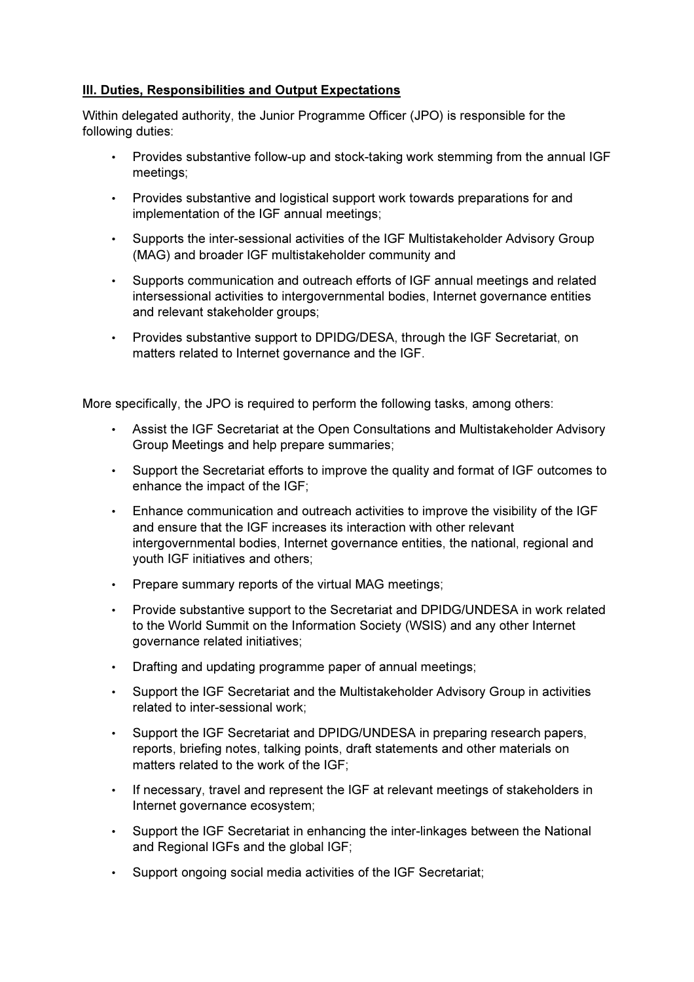## **III. Duties, Responsibilities and Output Expectations**

Within delegated authority, the Junior Programme Officer (JPO) is responsible for the following duties:

- Provides substantive follow-up and stock-taking work stemming from the annual IGF meetings;
- Provides substantive and logistical support work towards preparations for and implementation of the IGF annual meetings;
- Supports the inter-sessional activities of the IGF Multistakeholder Advisory Group (MAG) and broader IGF multistakeholder community and
- Supports communication and outreach efforts of IGF annual meetings and related intersessional activities to intergovernmental bodies, Internet governance entities and relevant stakeholder groups;
- Provides substantive support to DPIDG/DESA, through the IGF Secretariat, on matters related to Internet governance and the IGF.

More specifically, the JPO is required to perform the following tasks, among others:

- Assist the IGF Secretariat at the Open Consultations and Multistakeholder Advisory Group Meetings and help prepare summaries;
- Support the Secretariat efforts to improve the quality and format of IGF outcomes to enhance the impact of the IGF;
- Enhance communication and outreach activities to improve the visibility of the IGF and ensure that the IGF increases its interaction with other relevant intergovernmental bodies, Internet governance entities, the national, regional and youth IGF initiatives and others;
- Prepare summary reports of the virtual MAG meetings;
- Provide substantive support to the Secretariat and DPIDG/UNDESA in work related to the World Summit on the Information Society (WSIS) and any other Internet governance related initiatives;
- Drafting and updating programme paper of annual meetings;
- Support the IGF Secretariat and the Multistakeholder Advisory Group in activities related to inter-sessional work;
- Support the IGF Secretariat and DPIDG/UNDESA in preparing research papers, reports, briefing notes, talking points, draft statements and other materials on matters related to the work of the IGF;
- If necessary, travel and represent the IGF at relevant meetings of stakeholders in Internet governance ecosystem;
- Support the IGF Secretariat in enhancing the inter-linkages between the National and Regional IGFs and the global IGF;
- Support ongoing social media activities of the IGF Secretariat;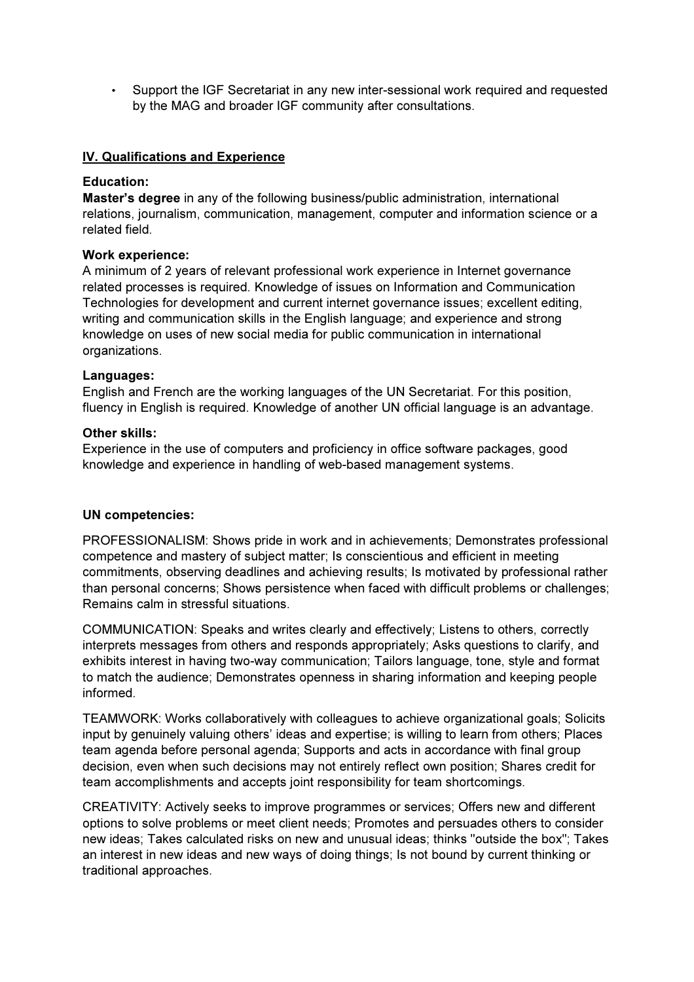• Support the IGF Secretariat in any new inter-sessional work required and requested by the MAG and broader IGF community after consultations.

#### IV. Qualifications and Experience

#### Education:

Master's degree in any of the following business/public administration, international relations, journalism, communication, management, computer and information science or a related field.

#### Work experience:

A minimum of 2 years of relevant professional work experience in Internet governance related processes is required. Knowledge of issues on Information and Communication Technologies for development and current internet governance issues; excellent editing, writing and communication skills in the English language; and experience and strong knowledge on uses of new social media for public communication in international organizations.

#### Languages:

English and French are the working languages of the UN Secretariat. For this position, fluency in English is required. Knowledge of another UN official language is an advantage.

#### Other skills:

Experience in the use of computers and proficiency in office software packages, good knowledge and experience in handling of web-based management systems.

#### UN competencies:

PROFESSIONALISM: Shows pride in work and in achievements; Demonstrates professional competence and mastery of subject matter; Is conscientious and efficient in meeting commitments, observing deadlines and achieving results; Is motivated by professional rather than personal concerns; Shows persistence when faced with difficult problems or challenges; Remains calm in stressful situations.

COMMUNICATION: Speaks and writes clearly and effectively; Listens to others, correctly interprets messages from others and responds appropriately; Asks questions to clarify, and exhibits interest in having two-way communication; Tailors language, tone, style and format to match the audience; Demonstrates openness in sharing information and keeping people informed.

TEAMWORK: Works collaboratively with colleagues to achieve organizational goals; Solicits input by genuinely valuing others' ideas and expertise; is willing to learn from others; Places team agenda before personal agenda; Supports and acts in accordance with final group decision, even when such decisions may not entirely reflect own position; Shares credit for team accomplishments and accepts joint responsibility for team shortcomings.

CREATIVITY: Actively seeks to improve programmes or services; Offers new and different options to solve problems or meet client needs; Promotes and persuades others to consider new ideas; Takes calculated risks on new and unusual ideas; thinks "outside the box"; Takes an interest in new ideas and new ways of doing things; Is not bound by current thinking or traditional approaches.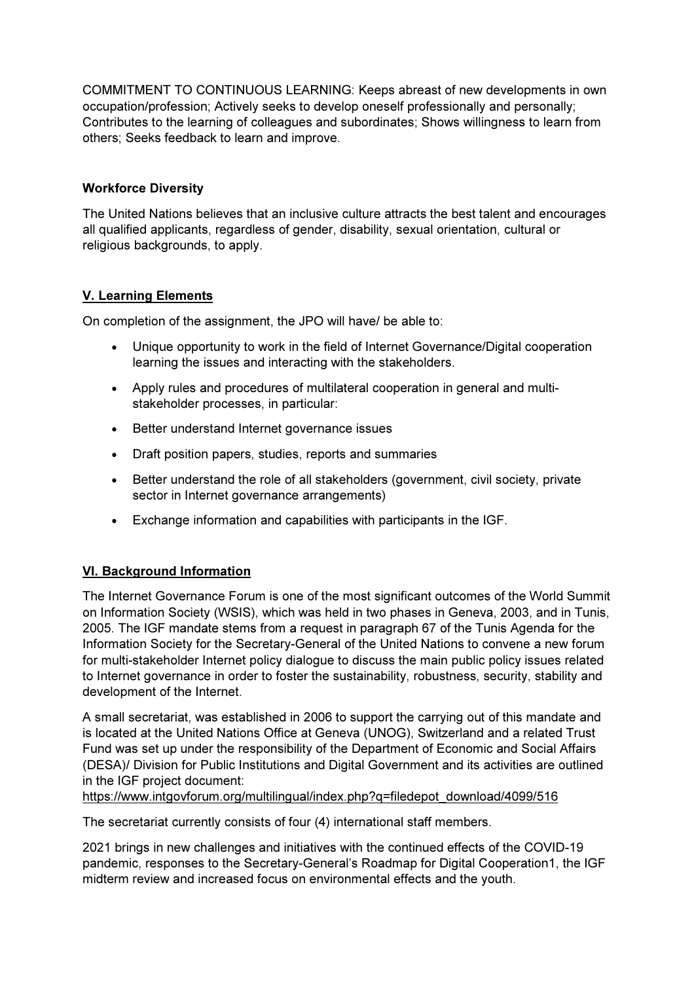COMMITMENT TO CONTINUOUS LEARNING: Keeps abreast of new developments in own occupation/profession; Actively seeks to develop oneself professionally and personally; Contributes to the learning of colleagues and subordinates; Shows willingness to learn from others; Seeks feedback to learn and improve.

## Workforce Diversity

The United Nations believes that an inclusive culture attracts the best talent and encourages all qualified applicants, regardless of gender, disability, sexual orientation, cultural or religious backgrounds, to apply.

## V. Learning Elements

On completion of the assignment, the JPO will have/ be able to:

- Unique opportunity to work in the field of Internet Governance/Digital cooperation learning the issues and interacting with the stakeholders.
- Apply rules and procedures of multilateral cooperation in general and multistakeholder processes, in particular:
- Better understand Internet governance issues
- Draft position papers, studies, reports and summaries
- Better understand the role of all stakeholders (government, civil society, private sector in Internet governance arrangements)
- Exchange information and capabilities with participants in the IGF.

## VI. Background Information

The Internet Governance Forum is one of the most significant outcomes of the World Summit on Information Society (WSIS), which was held in two phases in Geneva, 2003, and in Tunis, 2005. The IGF mandate stems from a request in paragraph 67 of the Tunis Agenda for the Information Society for the Secretary-General of the United Nations to convene a new forum for multi-stakeholder Internet policy dialogue to discuss the main public policy issues related to Internet governance in order to foster the sustainability, robustness, security, stability and development of the Internet.

A small secretariat, was established in 2006 to support the carrying out of this mandate and is located at the United Nations Office at Geneva (UNOG), Switzerland and a related Trust Fund was set up under the responsibility of the Department of Economic and Social Affairs (DESA)/ Division for Public Institutions and Digital Government and its activities are outlined in the IGF project document:

https://www.intgovforum.org/multilingual/index.php?q=filedepot\_download/4099/516

The secretariat currently consists of four (4) international staff members.

2021 brings in new challenges and initiatives with the continued effects of the COVID-19 pandemic, responses to the Secretary-General's Roadmap for Digital Cooperation1, the IGF midterm review and increased focus on environmental effects and the youth.